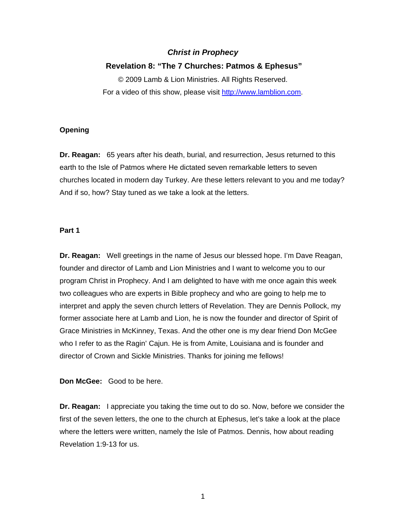# *Christ in Prophecy*

### **Revelation 8: "The 7 Churches: Patmos & Ephesus"**

© 2009 Lamb & Lion Ministries. All Rights Reserved. For a video of this show, please visit [http://www.lamblion.com.](http://www.lamblion.com/)

### **Opening**

**Dr. Reagan:** 65 years after his death, burial, and resurrection, Jesus returned to this earth to the Isle of Patmos where He dictated seven remarkable letters to seven churches located in modern day Turkey. Are these letters relevant to you and me today? And if so, how? Stay tuned as we take a look at the letters.

### **Part 1**

**Dr. Reagan:** Well greetings in the name of Jesus our blessed hope. I'm Dave Reagan, founder and director of Lamb and Lion Ministries and I want to welcome you to our program Christ in Prophecy. And I am delighted to have with me once again this week two colleagues who are experts in Bible prophecy and who are going to help me to interpret and apply the seven church letters of Revelation. They are Dennis Pollock, my former associate here at Lamb and Lion, he is now the founder and director of Spirit of Grace Ministries in McKinney, Texas. And the other one is my dear friend Don McGee who I refer to as the Ragin' Cajun. He is from Amite, Louisiana and is founder and director of Crown and Sickle Ministries. Thanks for joining me fellows!

**Don McGee:** Good to be here.

**Dr. Reagan:** I appreciate you taking the time out to do so. Now, before we consider the first of the seven letters, the one to the church at Ephesus, let's take a look at the place where the letters were written, namely the Isle of Patmos. Dennis, how about reading Revelation 1:9-13 for us.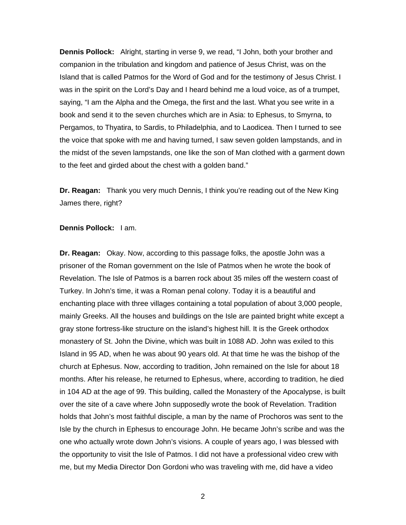**Dennis Pollock:** Alright, starting in verse 9, we read, "I John, both your brother and companion in the tribulation and kingdom and patience of Jesus Christ, was on the Island that is called Patmos for the Word of God and for the testimony of Jesus Christ. I was in the spirit on the Lord's Day and I heard behind me a loud voice, as of a trumpet, saying, "I am the Alpha and the Omega, the first and the last. What you see write in a book and send it to the seven churches which are in Asia: to Ephesus, to Smyrna, to Pergamos, to Thyatira, to Sardis, to Philadelphia, and to Laodicea. Then I turned to see the voice that spoke with me and having turned, I saw seven golden lampstands, and in the midst of the seven lampstands, one like the son of Man clothed with a garment down to the feet and girded about the chest with a golden band."

**Dr. Reagan:** Thank you very much Dennis, I think you're reading out of the New King James there, right?

#### **Dennis Pollock:** I am.

**Dr. Reagan:** Okay. Now, according to this passage folks, the apostle John was a prisoner of the Roman government on the Isle of Patmos when he wrote the book of Revelation. The Isle of Patmos is a barren rock about 35 miles off the western coast of Turkey. In John's time, it was a Roman penal colony. Today it is a beautiful and enchanting place with three villages containing a total population of about 3,000 people, mainly Greeks. All the houses and buildings on the Isle are painted bright white except a gray stone fortress-like structure on the island's highest hill. It is the Greek orthodox monastery of St. John the Divine, which was built in 1088 AD. John was exiled to this Island in 95 AD, when he was about 90 years old. At that time he was the bishop of the church at Ephesus. Now, according to tradition, John remained on the Isle for about 18 months. After his release, he returned to Ephesus, where, according to tradition, he died in 104 AD at the age of 99. This building, called the Monastery of the Apocalypse, is built over the site of a cave where John supposedly wrote the book of Revelation. Tradition holds that John's most faithful disciple, a man by the name of Prochoros was sent to the Isle by the church in Ephesus to encourage John. He became John's scribe and was the one who actually wrote down John's visions. A couple of years ago, I was blessed with the opportunity to visit the Isle of Patmos. I did not have a professional video crew with me, but my Media Director Don Gordoni who was traveling with me, did have a video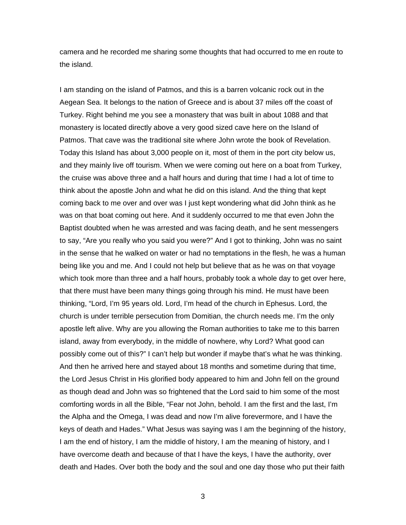camera and he recorded me sharing some thoughts that had occurred to me en route to the island.

I am standing on the island of Patmos, and this is a barren volcanic rock out in the Aegean Sea. It belongs to the nation of Greece and is about 37 miles off the coast of Turkey. Right behind me you see a monastery that was built in about 1088 and that monastery is located directly above a very good sized cave here on the Island of Patmos. That cave was the traditional site where John wrote the book of Revelation. Today this Island has about 3,000 people on it, most of them in the port city below us, and they mainly live off tourism. When we were coming out here on a boat from Turkey, the cruise was above three and a half hours and during that time I had a lot of time to think about the apostle John and what he did on this island. And the thing that kept coming back to me over and over was I just kept wondering what did John think as he was on that boat coming out here. And it suddenly occurred to me that even John the Baptist doubted when he was arrested and was facing death, and he sent messengers to say, "Are you really who you said you were?" And I got to thinking, John was no saint in the sense that he walked on water or had no temptations in the flesh, he was a human being like you and me. And I could not help but believe that as he was on that voyage which took more than three and a half hours, probably took a whole day to get over here, that there must have been many things going through his mind. He must have been thinking, "Lord, I'm 95 years old. Lord, I'm head of the church in Ephesus. Lord, the church is under terrible persecution from Domitian, the church needs me. I'm the only apostle left alive. Why are you allowing the Roman authorities to take me to this barren island, away from everybody, in the middle of nowhere, why Lord? What good can possibly come out of this?" I can't help but wonder if maybe that's what he was thinking. And then he arrived here and stayed about 18 months and sometime during that time, the Lord Jesus Christ in His glorified body appeared to him and John fell on the ground as though dead and John was so frightened that the Lord said to him some of the most comforting words in all the Bible, "Fear not John, behold. I am the first and the last, I'm the Alpha and the Omega, I was dead and now I'm alive forevermore, and I have the keys of death and Hades." What Jesus was saying was I am the beginning of the history, I am the end of history, I am the middle of history, I am the meaning of history, and I have overcome death and because of that I have the keys, I have the authority, over death and Hades. Over both the body and the soul and one day those who put their faith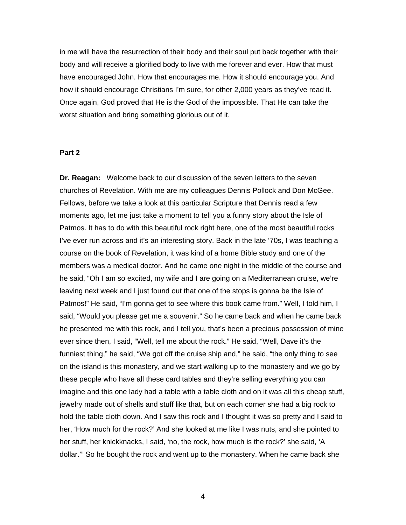in me will have the resurrection of their body and their soul put back together with their body and will receive a glorified body to live with me forever and ever. How that must have encouraged John. How that encourages me. How it should encourage you. And how it should encourage Christians I'm sure, for other 2,000 years as they've read it. Once again, God proved that He is the God of the impossible. That He can take the worst situation and bring something glorious out of it.

#### **Part 2**

**Dr. Reagan:** Welcome back to our discussion of the seven letters to the seven churches of Revelation. With me are my colleagues Dennis Pollock and Don McGee. Fellows, before we take a look at this particular Scripture that Dennis read a few moments ago, let me just take a moment to tell you a funny story about the Isle of Patmos. It has to do with this beautiful rock right here, one of the most beautiful rocks I've ever run across and it's an interesting story. Back in the late '70s, I was teaching a course on the book of Revelation, it was kind of a home Bible study and one of the members was a medical doctor. And he came one night in the middle of the course and he said, "Oh I am so excited, my wife and I are going on a Mediterranean cruise, we're leaving next week and I just found out that one of the stops is gonna be the Isle of Patmos!" He said, "I'm gonna get to see where this book came from." Well, I told him, I said, "Would you please get me a souvenir." So he came back and when he came back he presented me with this rock, and I tell you, that's been a precious possession of mine ever since then, I said, "Well, tell me about the rock." He said, "Well, Dave it's the funniest thing," he said, "We got off the cruise ship and," he said, "the only thing to see on the island is this monastery, and we start walking up to the monastery and we go by these people who have all these card tables and they're selling everything you can imagine and this one lady had a table with a table cloth and on it was all this cheap stuff, jewelry made out of shells and stuff like that, but on each corner she had a big rock to hold the table cloth down. And I saw this rock and I thought it was so pretty and I said to her, 'How much for the rock?' And she looked at me like I was nuts, and she pointed to her stuff, her knickknacks, I said, 'no, the rock, how much is the rock?' she said, 'A dollar.'" So he bought the rock and went up to the monastery. When he came back she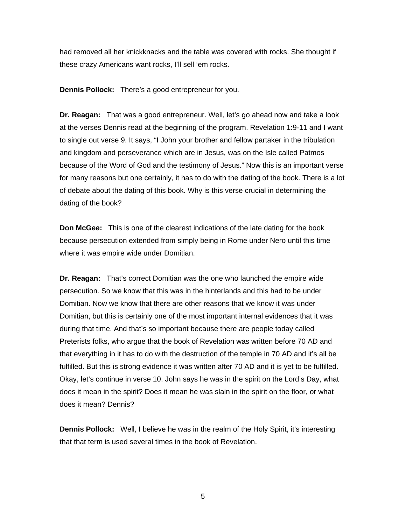had removed all her knickknacks and the table was covered with rocks. She thought if these crazy Americans want rocks, I'll sell 'em rocks.

**Dennis Pollock:** There's a good entrepreneur for you.

**Dr. Reagan:** That was a good entrepreneur. Well, let's go ahead now and take a look at the verses Dennis read at the beginning of the program. Revelation 1:9-11 and I want to single out verse 9. It says, "I John your brother and fellow partaker in the tribulation and kingdom and perseverance which are in Jesus, was on the Isle called Patmos because of the Word of God and the testimony of Jesus." Now this is an important verse for many reasons but one certainly, it has to do with the dating of the book. There is a lot of debate about the dating of this book. Why is this verse crucial in determining the dating of the book?

**Don McGee:** This is one of the clearest indications of the late dating for the book because persecution extended from simply being in Rome under Nero until this time where it was empire wide under Domitian.

**Dr. Reagan:** That's correct Domitian was the one who launched the empire wide persecution. So we know that this was in the hinterlands and this had to be under Domitian. Now we know that there are other reasons that we know it was under Domitian, but this is certainly one of the most important internal evidences that it was during that time. And that's so important because there are people today called Preterists folks, who argue that the book of Revelation was written before 70 AD and that everything in it has to do with the destruction of the temple in 70 AD and it's all be fulfilled. But this is strong evidence it was written after 70 AD and it is yet to be fulfilled. Okay, let's continue in verse 10. John says he was in the spirit on the Lord's Day, what does it mean in the spirit? Does it mean he was slain in the spirit on the floor, or what does it mean? Dennis?

**Dennis Pollock:** Well, I believe he was in the realm of the Holy Spirit, it's interesting that that term is used several times in the book of Revelation.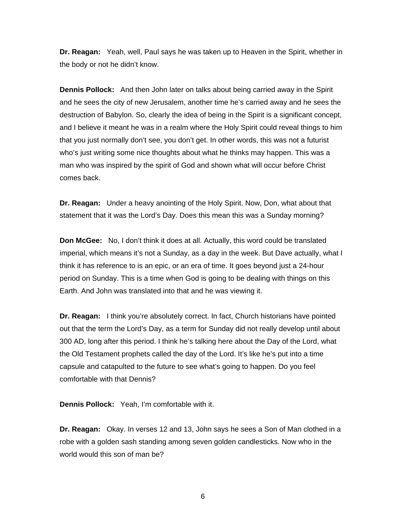**Dr. Reagan:** Yeah, well, Paul says he was taken up to Heaven in the Spirit, whether in the body or not he didn't know.

**Dennis Pollock:** And then John later on talks about being carried away in the Spirit and he sees the city of new Jerusalem, another time he's carried away and he sees the destruction of Babylon. So, clearly the idea of being in the Spirit is a significant concept, and I believe it meant he was in a realm where the Holy Spirit could reveal things to him that you just normally don't see, you don't get. In other words, this was not a futurist who's just writing some nice thoughts about what he thinks may happen. This was a man who was inspired by the spirit of God and shown what will occur before Christ comes back.

**Dr. Reagan:** Under a heavy anointing of the Holy Spirit. Now, Don, what about that statement that it was the Lord's Day. Does this mean this was a Sunday morning?

**Don McGee:** No, I don't think it does at all. Actually, this word could be translated imperial, which means it's not a Sunday, as a day in the week. But Dave actually, what I think it has reference to is an epic, or an era of time. It goes beyond just a 24-hour period on Sunday. This is a time when God is going to be dealing with things on this Earth. And John was translated into that and he was viewing it.

**Dr. Reagan:** I think you're absolutely correct. In fact, Church historians have pointed out that the term the Lord's Day, as a term for Sunday did not really develop until about 300 AD, long after this period. I think he's talking here about the Day of the Lord, what the Old Testament prophets called the day of the Lord. It's like he's put into a time capsule and catapulted to the future to see what's going to happen. Do you feel comfortable with that Dennis?

**Dennis Pollock:** Yeah, I'm comfortable with it.

**Dr. Reagan:** Okay. In verses 12 and 13, John says he sees a Son of Man clothed in a robe with a golden sash standing among seven golden candlesticks. Now who in the world would this son of man be?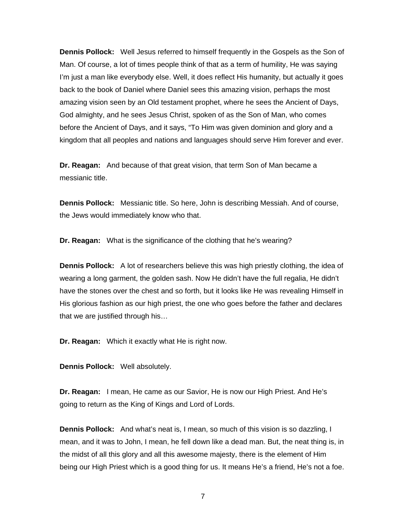**Dennis Pollock:** Well Jesus referred to himself frequently in the Gospels as the Son of Man. Of course, a lot of times people think of that as a term of humility, He was saying I'm just a man like everybody else. Well, it does reflect His humanity, but actually it goes back to the book of Daniel where Daniel sees this amazing vision, perhaps the most amazing vision seen by an Old testament prophet, where he sees the Ancient of Days, God almighty, and he sees Jesus Christ, spoken of as the Son of Man, who comes before the Ancient of Days, and it says, "To Him was given dominion and glory and a kingdom that all peoples and nations and languages should serve Him forever and ever.

**Dr. Reagan:** And because of that great vision, that term Son of Man became a messianic title.

**Dennis Pollock:** Messianic title. So here, John is describing Messiah. And of course, the Jews would immediately know who that.

**Dr. Reagan:** What is the significance of the clothing that he's wearing?

**Dennis Pollock:** A lot of researchers believe this was high priestly clothing, the idea of wearing a long garment, the golden sash. Now He didn't have the full regalia, He didn't have the stones over the chest and so forth, but it looks like He was revealing Himself in His glorious fashion as our high priest, the one who goes before the father and declares that we are justified through his…

**Dr. Reagan:** Which it exactly what He is right now.

**Dennis Pollock:** Well absolutely.

**Dr. Reagan:** I mean, He came as our Savior, He is now our High Priest. And He's going to return as the King of Kings and Lord of Lords.

**Dennis Pollock:** And what's neat is, I mean, so much of this vision is so dazzling, I mean, and it was to John, I mean, he fell down like a dead man. But, the neat thing is, in the midst of all this glory and all this awesome majesty, there is the element of Him being our High Priest which is a good thing for us. It means He's a friend, He's not a foe.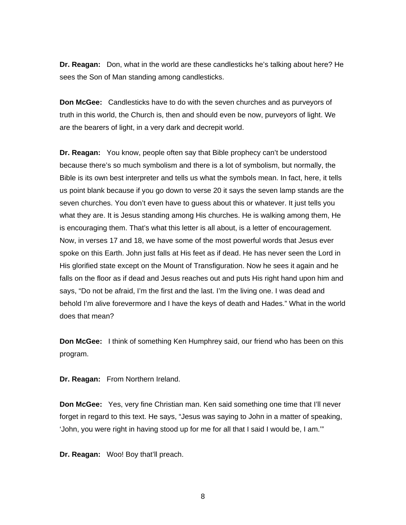**Dr. Reagan:** Don, what in the world are these candlesticks he's talking about here? He sees the Son of Man standing among candlesticks.

**Don McGee:** Candlesticks have to do with the seven churches and as purveyors of truth in this world, the Church is, then and should even be now, purveyors of light. We are the bearers of light, in a very dark and decrepit world.

**Dr. Reagan:** You know, people often say that Bible prophecy can't be understood because there's so much symbolism and there is a lot of symbolism, but normally, the Bible is its own best interpreter and tells us what the symbols mean. In fact, here, it tells us point blank because if you go down to verse 20 it says the seven lamp stands are the seven churches. You don't even have to guess about this or whatever. It just tells you what they are. It is Jesus standing among His churches. He is walking among them, He is encouraging them. That's what this letter is all about, is a letter of encouragement. Now, in verses 17 and 18, we have some of the most powerful words that Jesus ever spoke on this Earth. John just falls at His feet as if dead. He has never seen the Lord in His glorified state except on the Mount of Transfiguration. Now he sees it again and he falls on the floor as if dead and Jesus reaches out and puts His right hand upon him and says, "Do not be afraid, I'm the first and the last. I'm the living one. I was dead and behold I'm alive forevermore and I have the keys of death and Hades." What in the world does that mean?

**Don McGee:** I think of something Ken Humphrey said, our friend who has been on this program.

**Dr. Reagan:** From Northern Ireland.

**Don McGee:** Yes, very fine Christian man. Ken said something one time that I'll never forget in regard to this text. He says, "Jesus was saying to John in a matter of speaking, 'John, you were right in having stood up for me for all that I said I would be, I am.'"

**Dr. Reagan:** Woo! Boy that'll preach.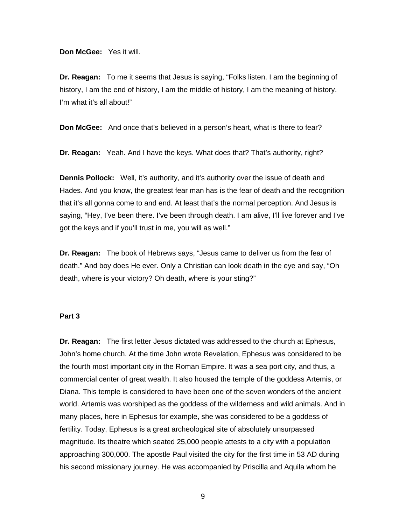#### **Don McGee:** Yes it will.

**Dr. Reagan:** To me it seems that Jesus is saying, "Folks listen. I am the beginning of history, I am the end of history, I am the middle of history, I am the meaning of history. I'm what it's all about!"

**Don McGee:** And once that's believed in a person's heart, what is there to fear?

**Dr. Reagan:** Yeah. And I have the keys. What does that? That's authority, right?

**Dennis Pollock:** Well, it's authority, and it's authority over the issue of death and Hades. And you know, the greatest fear man has is the fear of death and the recognition that it's all gonna come to and end. At least that's the normal perception. And Jesus is saying, "Hey, I've been there. I've been through death. I am alive, I'll live forever and I've got the keys and if you'll trust in me, you will as well."

**Dr. Reagan:** The book of Hebrews says, "Jesus came to deliver us from the fear of death." And boy does He ever. Only a Christian can look death in the eye and say, "Oh death, where is your victory? Oh death, where is your sting?"

#### **Part 3**

**Dr. Reagan:** The first letter Jesus dictated was addressed to the church at Ephesus, John's home church. At the time John wrote Revelation, Ephesus was considered to be the fourth most important city in the Roman Empire. It was a sea port city, and thus, a commercial center of great wealth. It also housed the temple of the goddess Artemis, or Diana. This temple is considered to have been one of the seven wonders of the ancient world. Artemis was worshiped as the goddess of the wilderness and wild animals. And in many places, here in Ephesus for example, she was considered to be a goddess of fertility. Today, Ephesus is a great archeological site of absolutely unsurpassed magnitude. Its theatre which seated 25,000 people attests to a city with a population approaching 300,000. The apostle Paul visited the city for the first time in 53 AD during his second missionary journey. He was accompanied by Priscilla and Aquila whom he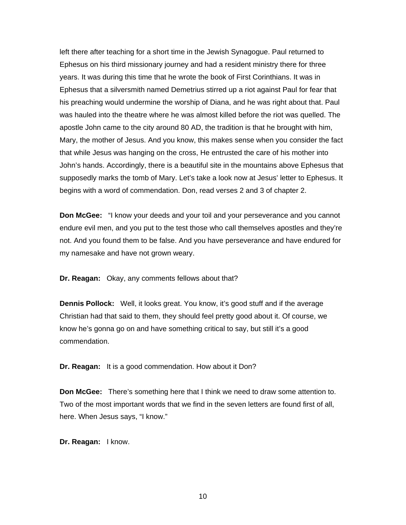left there after teaching for a short time in the Jewish Synagogue. Paul returned to Ephesus on his third missionary journey and had a resident ministry there for three years. It was during this time that he wrote the book of First Corinthians. It was in Ephesus that a silversmith named Demetrius stirred up a riot against Paul for fear that his preaching would undermine the worship of Diana, and he was right about that. Paul was hauled into the theatre where he was almost killed before the riot was quelled. The apostle John came to the city around 80 AD, the tradition is that he brought with him, Mary, the mother of Jesus. And you know, this makes sense when you consider the fact that while Jesus was hanging on the cross, He entrusted the care of his mother into John's hands. Accordingly, there is a beautiful site in the mountains above Ephesus that supposedly marks the tomb of Mary. Let's take a look now at Jesus' letter to Ephesus. It begins with a word of commendation. Don, read verses 2 and 3 of chapter 2.

**Don McGee:** "I know your deeds and your toil and your perseverance and you cannot endure evil men, and you put to the test those who call themselves apostles and they're not. And you found them to be false. And you have perseverance and have endured for my namesake and have not grown weary.

**Dr. Reagan:** Okay, any comments fellows about that?

**Dennis Pollock:** Well, it looks great. You know, it's good stuff and if the average Christian had that said to them, they should feel pretty good about it. Of course, we know he's gonna go on and have something critical to say, but still it's a good commendation.

**Dr. Reagan:** It is a good commendation. How about it Don?

**Don McGee:** There's something here that I think we need to draw some attention to. Two of the most important words that we find in the seven letters are found first of all, here. When Jesus says, "I know."

**Dr. Reagan:** I know.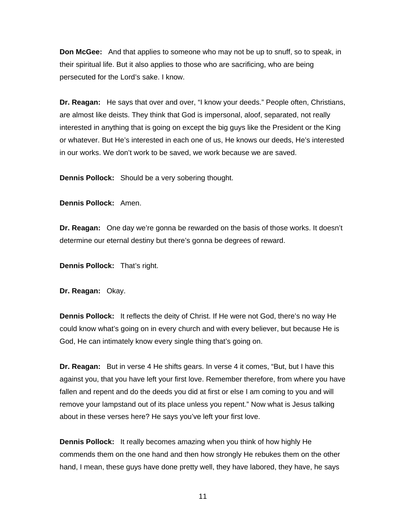**Don McGee:** And that applies to someone who may not be up to snuff, so to speak, in their spiritual life. But it also applies to those who are sacrificing, who are being persecuted for the Lord's sake. I know.

**Dr. Reagan:** He says that over and over, "I know your deeds." People often, Christians, are almost like deists. They think that God is impersonal, aloof, separated, not really interested in anything that is going on except the big guys like the President or the King or whatever. But He's interested in each one of us, He knows our deeds, He's interested in our works. We don't work to be saved, we work because we are saved.

**Dennis Pollock:** Should be a very sobering thought.

**Dennis Pollock:** Amen.

**Dr. Reagan:** One day we're gonna be rewarded on the basis of those works. It doesn't determine our eternal destiny but there's gonna be degrees of reward.

**Dennis Pollock:** That's right.

**Dr. Reagan:** Okay.

**Dennis Pollock:** It reflects the deity of Christ. If He were not God, there's no way He could know what's going on in every church and with every believer, but because He is God, He can intimately know every single thing that's going on.

**Dr. Reagan:** But in verse 4 He shifts gears. In verse 4 it comes, "But, but I have this against you, that you have left your first love. Remember therefore, from where you have fallen and repent and do the deeds you did at first or else I am coming to you and will remove your lampstand out of its place unless you repent." Now what is Jesus talking about in these verses here? He says you've left your first love.

**Dennis Pollock:** It really becomes amazing when you think of how highly He commends them on the one hand and then how strongly He rebukes them on the other hand, I mean, these guys have done pretty well, they have labored, they have, he says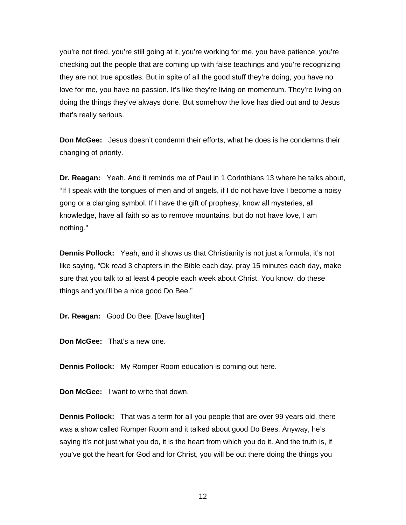you're not tired, you're still going at it, you're working for me, you have patience, you're checking out the people that are coming up with false teachings and you're recognizing they are not true apostles. But in spite of all the good stuff they're doing, you have no love for me, you have no passion. It's like they're living on momentum. They're living on doing the things they've always done. But somehow the love has died out and to Jesus that's really serious.

**Don McGee:** Jesus doesn't condemn their efforts, what he does is he condemns their changing of priority.

**Dr. Reagan:** Yeah. And it reminds me of Paul in 1 Corinthians 13 where he talks about, "If I speak with the tongues of men and of angels, if I do not have love I become a noisy gong or a clanging symbol. If I have the gift of prophesy, know all mysteries, all knowledge, have all faith so as to remove mountains, but do not have love, I am nothing."

**Dennis Pollock:** Yeah, and it shows us that Christianity is not just a formula, it's not like saying, "Ok read 3 chapters in the Bible each day, pray 15 minutes each day, make sure that you talk to at least 4 people each week about Christ. You know, do these things and you'll be a nice good Do Bee."

**Dr. Reagan:** Good Do Bee. [Dave laughter]

**Don McGee:** That's a new one.

**Dennis Pollock:** My Romper Room education is coming out here.

**Don McGee:** I want to write that down.

**Dennis Pollock:** That was a term for all you people that are over 99 years old, there was a show called Romper Room and it talked about good Do Bees. Anyway, he's saying it's not just what you do, it is the heart from which you do it. And the truth is, if you've got the heart for God and for Christ, you will be out there doing the things you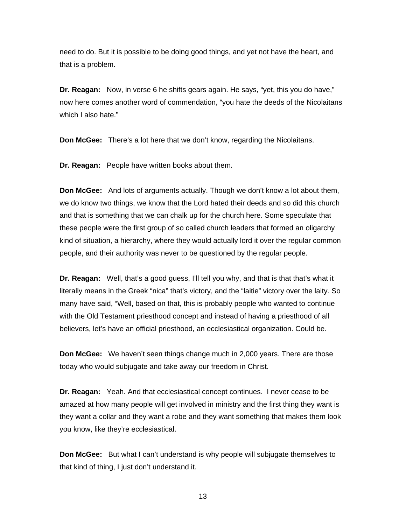need to do. But it is possible to be doing good things, and yet not have the heart, and that is a problem.

**Dr. Reagan:** Now, in verse 6 he shifts gears again. He says, "yet, this you do have," now here comes another word of commendation, "you hate the deeds of the Nicolaitans which I also hate."

**Don McGee:** There's a lot here that we don't know, regarding the Nicolaitans.

**Dr. Reagan:** People have written books about them.

**Don McGee:** And lots of arguments actually. Though we don't know a lot about them, we do know two things, we know that the Lord hated their deeds and so did this church and that is something that we can chalk up for the church here. Some speculate that these people were the first group of so called church leaders that formed an oligarchy kind of situation, a hierarchy, where they would actually lord it over the regular common people, and their authority was never to be questioned by the regular people.

**Dr. Reagan:** Well, that's a good guess, I'll tell you why, and that is that that's what it literally means in the Greek "nica" that's victory, and the "laitie" victory over the laity. So many have said, "Well, based on that, this is probably people who wanted to continue with the Old Testament priesthood concept and instead of having a priesthood of all believers, let's have an official priesthood, an ecclesiastical organization. Could be.

**Don McGee:** We haven't seen things change much in 2,000 years. There are those today who would subjugate and take away our freedom in Christ.

**Dr. Reagan:** Yeah. And that ecclesiastical concept continues. I never cease to be amazed at how many people will get involved in ministry and the first thing they want is they want a collar and they want a robe and they want something that makes them look you know, like they're ecclesiastical.

**Don McGee:** But what I can't understand is why people will subjugate themselves to that kind of thing, I just don't understand it.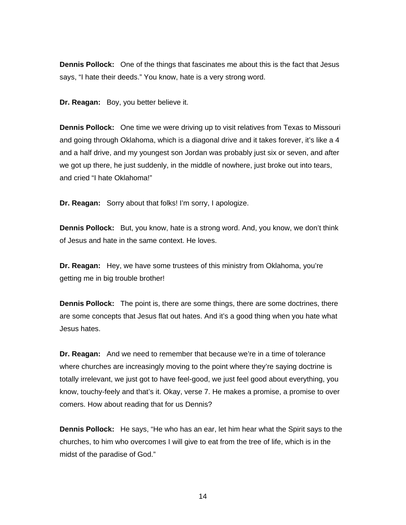**Dennis Pollock:** One of the things that fascinates me about this is the fact that Jesus says, "I hate their deeds." You know, hate is a very strong word.

**Dr. Reagan:** Boy, you better believe it.

**Dennis Pollock:** One time we were driving up to visit relatives from Texas to Missouri and going through Oklahoma, which is a diagonal drive and it takes forever, it's like a 4 and a half drive, and my youngest son Jordan was probably just six or seven, and after we got up there, he just suddenly, in the middle of nowhere, just broke out into tears, and cried "I hate Oklahoma!"

**Dr. Reagan:** Sorry about that folks! I'm sorry, I apologize.

**Dennis Pollock:** But, you know, hate is a strong word. And, you know, we don't think of Jesus and hate in the same context. He loves.

**Dr. Reagan:** Hey, we have some trustees of this ministry from Oklahoma, you're getting me in big trouble brother!

**Dennis Pollock:** The point is, there are some things, there are some doctrines, there are some concepts that Jesus flat out hates. And it's a good thing when you hate what Jesus hates.

**Dr. Reagan:** And we need to remember that because we're in a time of tolerance where churches are increasingly moving to the point where they're saying doctrine is totally irrelevant, we just got to have feel-good, we just feel good about everything, you know, touchy-feely and that's it. Okay, verse 7. He makes a promise, a promise to over comers. How about reading that for us Dennis?

**Dennis Pollock:** He says, "He who has an ear, let him hear what the Spirit says to the churches, to him who overcomes I will give to eat from the tree of life, which is in the midst of the paradise of God."